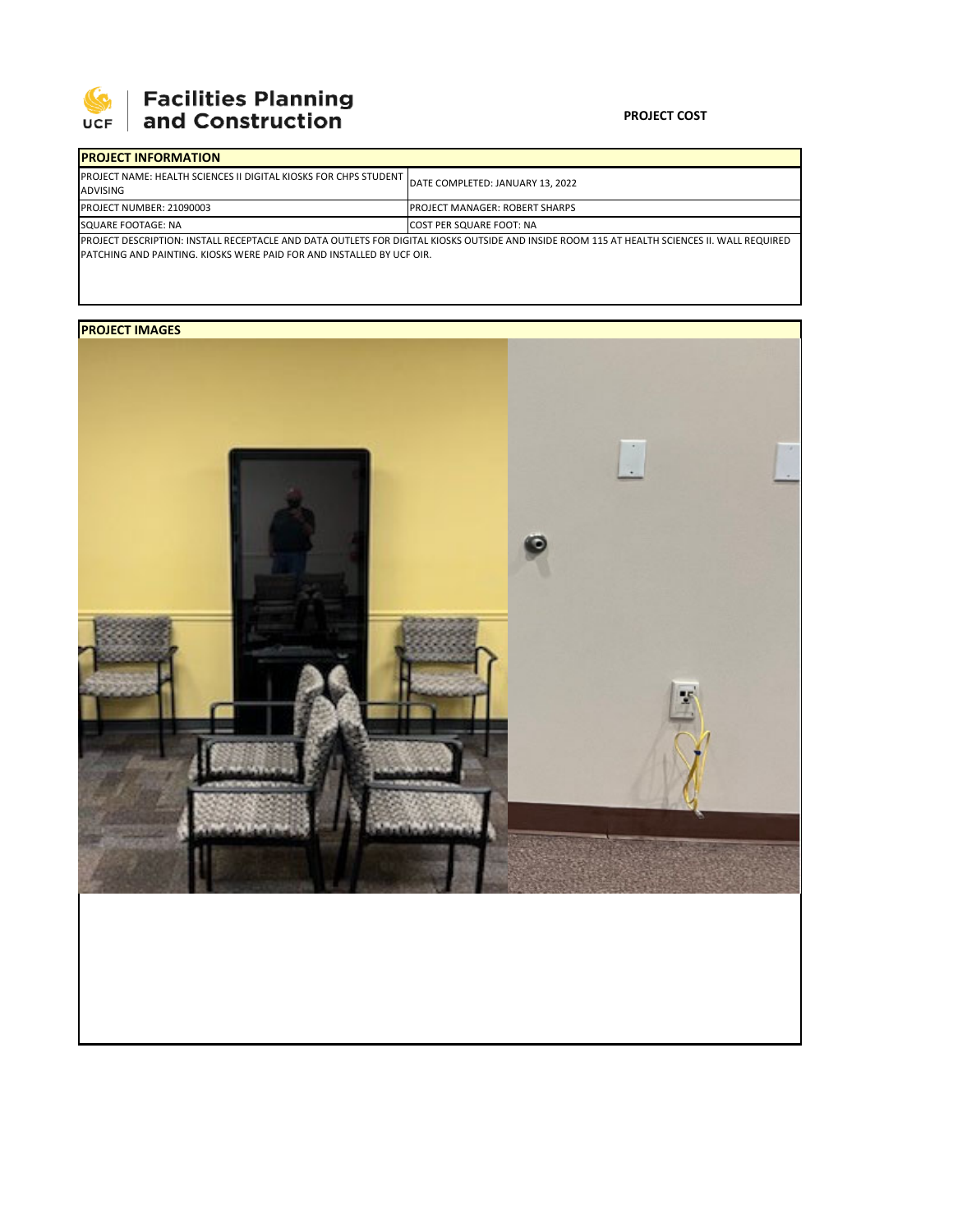

## **Facilities Planning<br>and Construction**

#### **PROJECT COST**

| <b>PROJECT INFORMATION</b>                                                                                                                   |                                       |  |  |  |
|----------------------------------------------------------------------------------------------------------------------------------------------|---------------------------------------|--|--|--|
| <b>IPROJECT NAME: HEALTH SCIENCES II DIGITAL KIOSKS FOR CHPS STUDENT</b><br><b>ADVISING</b>                                                  | DATE COMPLETED: JANUARY 13, 2022      |  |  |  |
| PROJECT NUMBER: 21090003                                                                                                                     | <b>PROJECT MANAGER: ROBERT SHARPS</b> |  |  |  |
| SQUARE FOOTAGE: NA                                                                                                                           | <b>COST PER SQUARE FOOT: NA</b>       |  |  |  |
| PROJECT DESCRIPTION: INSTALL RECEPTACLE AND DATA OUTLETS FOR DIGITAL KIOSKS OUTSIDE AND INSIDE ROOM 115 AT HEALTH SCIENCES II. WALL REQUIRED |                                       |  |  |  |
| <b>IPATCHING AND PAINTING. KIOSKS WERE PAID FOR AND INSTALLED BY UCF OIR.</b>                                                                |                                       |  |  |  |

## **PROJECT IMAGES**